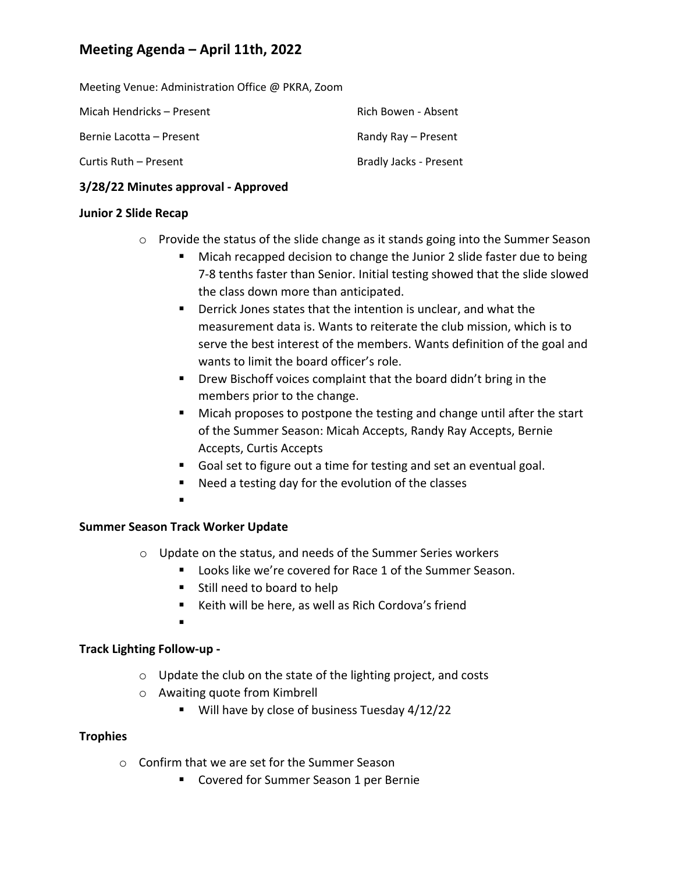Meeting Venue: Administration Office @ PKRA, Zoom

| Micah Hendricks – Present | Rich Bowen - Absent    |
|---------------------------|------------------------|
| Bernie Lacotta – Present  | Randy Ray – Present    |
| Curtis Ruth – Present     | Bradly Jacks - Present |

### **3/28/22 Minutes approval ‐ Approved**

#### **Junior 2 Slide Recap**

- o Provide the status of the slide change as it stands going into the Summer Season
	- **Micah recapped decision to change the Junior 2 slide faster due to being** 7‐8 tenths faster than Senior. Initial testing showed that the slide slowed the class down more than anticipated.
	- Derrick Jones states that the intention is unclear, and what the measurement data is. Wants to reiterate the club mission, which is to serve the best interest of the members. Wants definition of the goal and wants to limit the board officer's role.
	- **P** Drew Bischoff voices complaint that the board didn't bring in the members prior to the change.
	- Micah proposes to postpone the testing and change until after the start of the Summer Season: Micah Accepts, Randy Ray Accepts, Bernie Accepts, Curtis Accepts
	- Goal set to figure out a time for testing and set an eventual goal.
	- Need a testing day for the evolution of the classes
	- .

### **Summer Season Track Worker Update**

- o Update on the status, and needs of the Summer Series workers
	- **Looks like we're covered for Race 1 of the Summer Season.**
	- Still need to board to help
	- Keith will be here, as well as Rich Cordova's friend
	- .

### **Track Lighting Follow‐up ‐**

- o Update the club on the state of the lighting project, and costs
- o Awaiting quote from Kimbrell
	- Will have by close of business Tuesday 4/12/22

### **Trophies**

- o Confirm that we are set for the Summer Season
	- Covered for Summer Season 1 per Bernie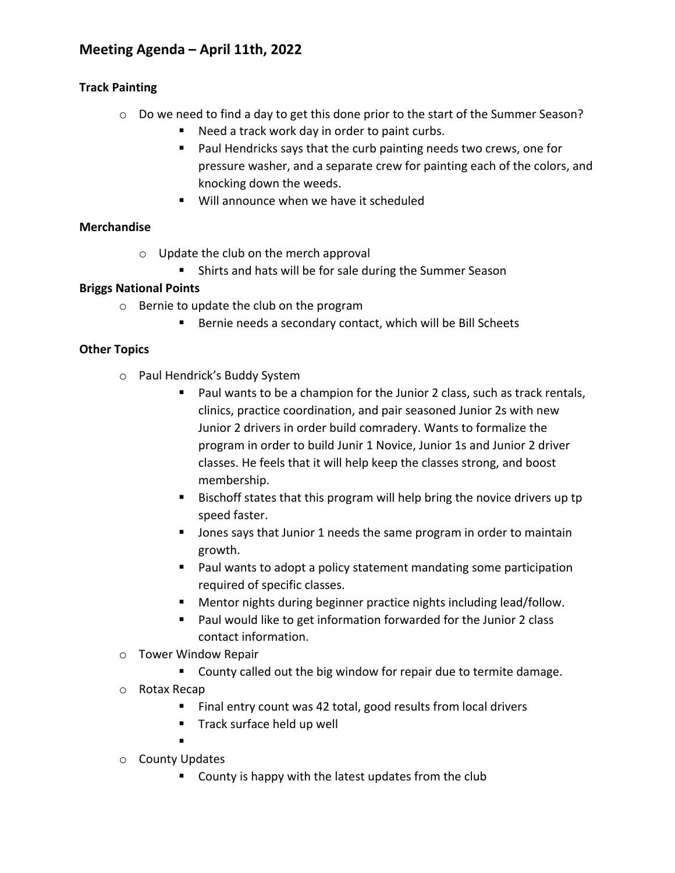### **Track Painting**

- o Do we need to find a day to get this done prior to the start of the Summer Season?
	- Need a track work day in order to paint curbs.
	- **Paul Hendricks says that the curb painting needs two crews, one for** pressure washer, and a separate crew for painting each of the colors, and knocking down the weeds.
	- Will announce when we have it scheduled

## **Merchandise**

- o Update the club on the merch approval
	- **Shirts and hats will be for sale during the Summer Season**

## **Briggs National Points**

- o Bernie to update the club on the program
	- Bernie needs a secondary contact, which will be Bill Scheets

## **Other Topics**

- o Paul Hendrick's Buddy System
	- Paul wants to be a champion for the Junior 2 class, such as track rentals, clinics, practice coordination, and pair seasoned Junior 2s with new Junior 2 drivers in order build comradery. Wants to formalize the program in order to build Junir 1 Novice, Junior 1s and Junior 2 driver classes. He feels that it will help keep the classes strong, and boost membership.
	- Bischoff states that this program will help bring the novice drivers up tp speed faster.
	- **Jones says that Junior 1 needs the same program in order to maintain** growth.
	- Paul wants to adopt a policy statement mandating some participation required of specific classes.
	- Mentor nights during beginner practice nights including lead/follow.
	- Paul would like to get information forwarded for the Junior 2 class contact information.
- o Tower Window Repair
	- **County called out the big window for repair due to termite damage.**
- o Rotax Recap
	- Final entry count was 42 total, good results from local drivers
	- **Track surface held up well**
	- .
- o County Updates
	- **County is happy with the latest updates from the club**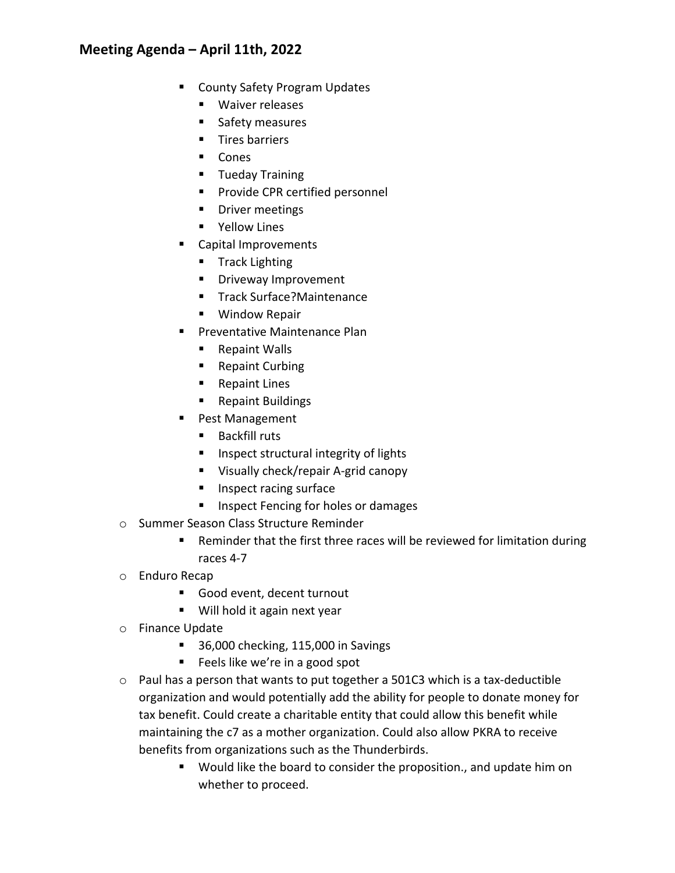- County Safety Program Updates
	- **Naiver releases**
	- **Safety measures**
	- $\blacksquare$  Tires barriers
	- Cones
	- **Tueday Training**
	- **Provide CPR certified personnel**
	- **•** Driver meetings
	- **P** Yellow Lines
- Capital Improvements
	- **Track Lighting**
	- **Driveway Improvement**
	- Track Surface?Maintenance
	- **Window Repair**
- **Preventative Maintenance Plan** 
	- Repaint Walls
	- Repaint Curbing
	- Repaint Lines
	- Repaint Buildings
- **Pest Management** 
	- Backfill ruts
	- **Inspect structural integrity of lights**
	- Visually check/repair A-grid canopy
	- **Inspect racing surface**
	- **Inspect Fencing for holes or damages**
- o Summer Season Class Structure Reminder
	- Reminder that the first three races will be reviewed for limitation during races 4‐7
- o Enduro Recap
	- Good event, decent turnout
	- Will hold it again next year
- o Finance Update
	- 36,000 checking, 115,000 in Savings
	- Feels like we're in a good spot
- $\circ$  Paul has a person that wants to put together a 501C3 which is a tax-deductible organization and would potentially add the ability for people to donate money for tax benefit. Could create a charitable entity that could allow this benefit while maintaining the c7 as a mother organization. Could also allow PKRA to receive benefits from organizations such as the Thunderbirds.
	- Would like the board to consider the proposition., and update him on whether to proceed.